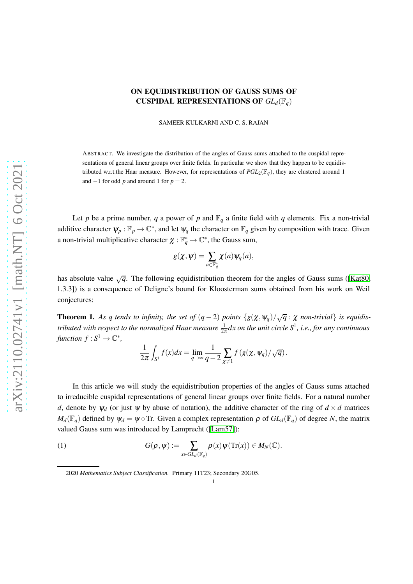# ON EQUIDISTRIBUTION OF GAUSS SUMS OF CUSPIDAL REPRESENTATIONS OF *GLd*(F*q*)

SAMEER KULKARNI AND C. S. RAJAN

ABSTRACT. We investigate the distribution of the angles of Gauss sums attached to the cuspidal representations of general linear groups over finite fields. In particular we show that they happen to be equidistributed w.r.t.the Haar measure. However, for representations of  $PGL_2(\mathbb{F}_q)$ , they are clustered around 1 and  $-1$  for odd *p* and around 1 for  $p = 2$ .

Let *p* be a prime number, *q* a power of *p* and  $\mathbb{F}_q$  a finite field with *q* elements. Fix a non-trivial additive character  $\psi_p : \mathbb{F}_p \to \mathbb{C}^*$ , and let  $\psi_q$  the character on  $\mathbb{F}_q$  given by composition with trace. Given a non-trivial multiplicative character  $\chi : \mathbb{F}_q^* \to \mathbb{C}^*$ , the Gauss sum,

$$
g(\chi,\psi)=\sum_{a\in\mathbb{F}_q^*}\chi(a)\psi_q(a),
$$

has absolute value  $\sqrt{q}$ . The following equidistribution theorem for the angles of Gauss sums ([\[Kat80,](#page-14-0) 1.3.3]) is a consequence of Deligne's bound for Kloosterman sums obtained from his work on Weil conjectures:

**Theorem 1.** As q tends to infinity, the set of  $(q-2)$  points  $\{g(\chi, \psi_q)/\sqrt{q} : \chi \text{ non-trivial}\}$  is equidis*tributed with respect to the normalized Haar measure* <sup>1</sup> 2<sup>π</sup> *dx on the unit circle S*<sup>1</sup> *, i.e., for any continuous*  $function f : S^1 \to \mathbb{C}^*,$ 

$$
\frac{1}{2\pi}\int_{S^1}f(x)dx = \lim_{q\to\infty}\frac{1}{q-2}\sum_{\chi\neq 1}f(g(\chi,\psi_q)/\sqrt{q}).
$$

In this article we will study the equidistribution properties of the angles of Gauss sums attached to irreducible cuspidal representations of general linear groups over finite fields. For a natural number *d*, denote by  $\psi_d$  (or just  $\psi$  by abuse of notation), the additive character of the ring of  $d \times d$  matrices  $M_d(\mathbb{F}_q)$  defined by  $\psi_d = \psi \circ \text{Tr}$ . Given a complex representation  $\rho$  of  $GL_d(\mathbb{F}_q)$  of degree *N*, the matrix valued Gauss sum was introduced by Lamprecht ([\[Lam57\]](#page-14-1)):

(1) 
$$
G(\rho, \psi) := \sum_{x \in GL_d(\mathbb{F}_q)} \rho(x) \psi(\text{Tr}(x)) \in M_N(\mathbb{C}).
$$

<span id="page-0-0"></span>2020 *Mathematics Subject Classification.* Primary 11T23; Secondary 20G05.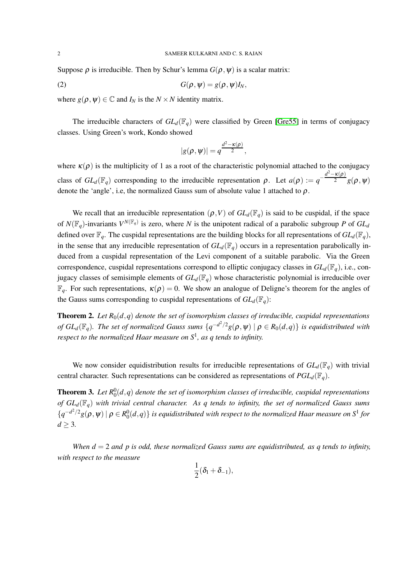Suppose  $\rho$  is irreducible. Then by Schur's lemma  $G(\rho, \psi)$  is a scalar matrix:

$$
(2) \tG(\rho, \psi) = g(\rho, \psi)I_N,
$$

where  $g(\rho, \psi) \in \mathbb{C}$  and  $I_N$  is the  $N \times N$  identity matrix.

The irreducible characters of  $GL_d(\mathbb{F}_q)$  were classified by Green [\[Gre55\]](#page-14-2) in terms of conjugacy classes. Using Green's work, Kondo showed

<span id="page-1-0"></span>
$$
|g(\rho,\psi)|=q^{\frac{d^2-\kappa(\rho)}{2}},
$$

where  $\kappa(\rho)$  is the multiplicity of 1 as a root of the characteristic polynomial attached to the conjugacy class of  $GL_d(\mathbb{F}_q)$  corresponding to the irreducible representation  $\rho$ . Let  $a(\rho) := q^{-1}$  $d^2$  – κ(ρ)  $\sqrt{2-g(\rho,\psi)}$ denote the 'angle', i.e, the normalized Gauss sum of absolute value 1 attached to  $\rho$ .

We recall that an irreducible representation  $(\rho, V)$  of  $GL_d(\mathbb{F}_q)$  is said to be cuspidal, if the space of  $N(\mathbb{F}_q)$ -invariants  $V^{N(\mathbb{F}_q)}$  is zero, where *N* is the unipotent radical of a parabolic subgroup *P* of  $GL_d$ defined over  $\mathbb{F}_q$ . The cuspidal representations are the building blocks for all representations of  $GL_d(\mathbb{F}_q)$ , in the sense that any irreducible representation of  $GL_d(\mathbb{F}_q)$  occurs in a representation parabolically induced from a cuspidal representation of the Levi component of a suitable parabolic. Via the Green correspondence, cuspidal representations correspond to elliptic conjugacy classes in *GLd*(F*q*), i.e., conjugacy classes of semisimple elements of  $GL_d(\mathbb{F}_q)$  whose characteristic polynomial is irreducible over  $\mathbb{F}_q$ . For such representations,  $\kappa(\rho) = 0$ . We show an analogue of Deligne's theorem for the angles of the Gauss sums corresponding to cuspidal representations of  $GL_d(\mathbb{F}_q)$ :

<span id="page-1-1"></span>**Theorem 2.** Let  $R_0(d,q)$  denote the set of isomorphism classes of irreducible, cuspidal representations *of*  $GL_d(\mathbb{F}_q)$ . The set of normalized Gauss sums  $\{q^{-d^2/2}g(\rho,\psi)\mid \rho\in R_0(d,q)\}$  is equidistributed with *respect to the normalized Haar measure on S*<sup>1</sup> *, as q tends to infinity.*

We now consider equidistribution results for irreducible representations of  $GL_d(\mathbb{F}_q)$  with trivial central character. Such representations can be considered as representations of  $PGL_d(\mathbb{F}_q)$ .

<span id="page-1-2"></span>**Theorem 3.** Let  $R_0^0(d,q)$  denote the set of isomorphism classes of irreducible, cuspidal representations *of*  $GL_d(\mathbb{F}_q)$  *with trivial central character. As q tends to infinity, the set of normalized Gauss sums*  $\{q^{-d^2/2}g(\rho,\psi)\mid \rho\in R^0_0(d,q)\}$  is equidistributed with respect to the normalized Haar measure on  $S^1$  for  $d \geq 3$ .

*When d* = 2 *and p is odd, these normalized Gauss sums are equidistributed, as q tends to infinity, with respect to the measure*

$$
\frac{1}{2}(\delta_l+\delta_{-1}),
$$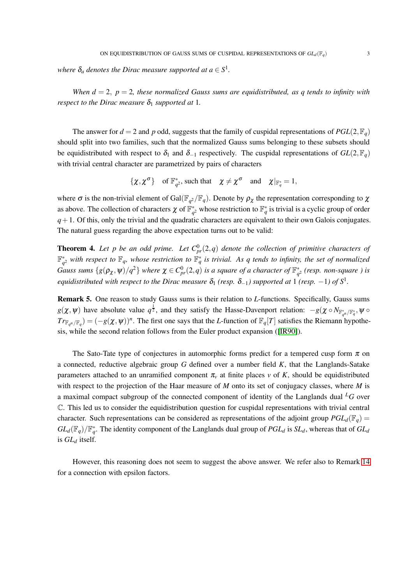where  $\delta_a$  denotes the Dirac measure supported at  $a \in S^1$ .

*When*  $d = 2$ *,*  $p = 2$ *, these normalized Gauss sums are equidistributed, as q tends to infinity with respect to the Dirac measure*  $\delta_1$  *supported at* 1.

The answer for  $d = 2$  and  $p$  odd, suggests that the family of cuspidal representations of  $PGL(2, \mathbb{F}_q)$ should split into two families, such that the normalized Gauss sums belonging to these subsets should be equidistributed with respect to  $\delta_1$  and  $\delta_{-1}$  respectively. The cuspidal representations of  $GL(2, \mathbb{F}_q)$ with trivial central character are parametrized by pairs of characters

$$
\{\chi, \chi^{\sigma}\} \quad \text{of } \mathbb{F}_{q^2}^*, \text{ such that } \quad \chi \neq \chi^{\sigma} \quad \text{and} \quad \chi|_{\mathbb{F}_q^*} = 1,
$$

where  $\sigma$  is the non-trivial element of Gal( $\mathbb{F}_{q^2}/\mathbb{F}_q$ ). Denote by  $\rho_\chi$  the representation corresponding to  $\chi$ as above. The collection of characters  $\chi$  of  $\mathbb{F}_{q^2}^*$  whose restriction to  $\mathbb{F}_q^*$  is trivial is a cyclic group of order  $q+1$ . Of this, only the trivial and the quadratic characters are equivalent to their own Galois conjugates. The natural guess regarding the above expectation turns out to be valid:

<span id="page-2-0"></span>**Theorem 4.** Let p be an odd prime. Let  $C_{pr}^{0}(2,q)$  denote the collection of primitive characters of  $\mathbb{F}_{q^2}^*$  with respect to  $\mathbb{F}_q$ , whose restriction to  $\mathbb{F}_q^*$  is trivial. As q tends to infinity, the set of normalized *Gauss sums*  $\{g(\rho_\chi, \psi)/q^2\}$  where  $\chi \in C^0_{pr}(2,q)$  is a square of a character of  $\mathbb{F}_{q^2}^*$  (resp. non-square ) is *equidistributed with respect to the Dirac measure*  $\delta_1$  *(resp.*  $\delta_{-1}$ *) supported at* 1 *(resp.*  $-1$ *) of*  $S^1$ *.* 

Remark 5. One reason to study Gauss sums is their relation to *L*-functions. Specifically, Gauss sums  $g(\chi, \psi)$  have absolute value  $q^{\frac{1}{2}}$ , and they satisfy the Hasse-Davenport relation:  $-g(\chi \circ N_{\mathbb{F}_{q^n}^*/\mathbb{F}_q^*}, \psi \circ N_{\mathbb{F}_{q^n}/\mathbb{F}_q^*}, \psi \circ N_{\mathbb{F}_{q^n}^*/\mathbb{F}_q^*}, \psi \circ N_{\mathbb{F}_{q^n}/\mathbb{F}_q^*}$  $Tr_{\mathbb{F}_{q^n}/\mathbb{F}_q}$  =  $(-g(\chi, \psi))^n$ . The first one says that the *L*-function of  $\mathbb{F}_q[T]$  satisfies the Riemann hypothesis, while the second relation follows from the Euler product expansion ([\[IR90\]](#page-14-3)).

The Sato-Tate type of conjectures in automorphic forms predict for a tempered cusp form  $\pi$  on a connected, reductive algebraic group *G* defined over a number field *K*, that the Langlands-Satake parameters attached to an unramified component  $\pi$ <sup>*v*</sup> at finite places *v* of *K*, should be equidistributed with respect to the projection of the Haar measure of *M* onto its set of conjugacy classes, where *M* is a maximal compact subgroup of the connected component of identity of the Langlands dual *<sup>L</sup>G* over C. This led us to consider the equidistribution question for cuspidal representations with trivial central character. Such representations can be considered as representations of the adjoint group  $PGL_d(\mathbb{F}_q)$  =  $GL_d(\mathbb{F}_q)/\mathbb{F}_q^*$ . The identity component of the Langlands dual group of  $PGL_d$  is  $SL_d$ , whereas that of  $GL_d$ is *GL<sup>d</sup>* itself.

However, this reasoning does not seem to suggest the above answer. We refer also to Remark [14](#page-13-0) for a connection with epsilon factors.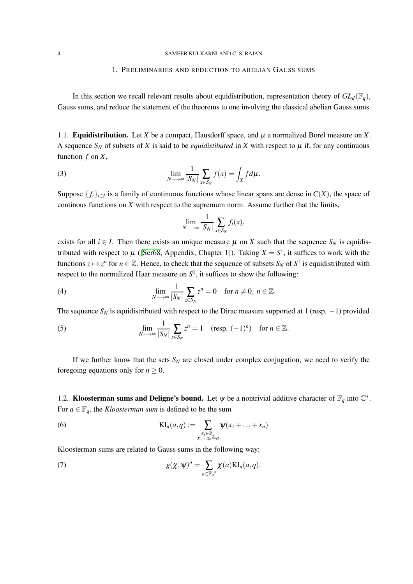#### 4 SAMEER KULKARNI AND C. S. RAJAN

### 1. PRELIMINARIES AND REDUCTION TO ABELIAN GAUSS SUMS

In this section we recall relevant results about equidistribution, representation theory of  $GL_d(\mathbb{F}_q)$ , Gauss sums, and reduce the statement of the theorems to one involving the classical abelian Gauss sums.

1.1. **Equidistribution.** Let *X* be a compact, Hausdorff space, and  $\mu$  a normalized Borel measure on *X*. A sequence  $S_N$  of subsets of *X* is said to be *equidistibuted* in *X* with respect to  $\mu$  if, for any continuous function *f* on *X*,

(3) 
$$
\lim_{N \to \infty} \frac{1}{|S_N|} \sum_{x \in S_N} f(x) = \int_X f d\mu.
$$

Suppose  $\{f_i\}_{i\in I}$  is a family of continuous functions whose linear spans are dense in  $C(X)$ , the space of continous functions on *X* with respect to the supremum norm. Assume further that the limits,

$$
\lim_{N \longrightarrow \infty} \frac{1}{|S_N|} \sum_{x \in S_N} f_i(x),
$$

exists for all  $i \in I$ . Then there exists an unique measure  $\mu$  on *X* such that the sequence  $S_N$  is equidistributed with respect to  $\mu$  ([\[Ser68,](#page-14-4) Appendix, Chapter 1]). Taking  $X = S^1$ , it suffices to work with the functions  $z \mapsto z^n$  for  $n \in \mathbb{Z}$ . Hence, to check that the sequence of subsets  $S_N$  of  $S^1$  is equidistributed with respect to the normalized Haar measure on  $S<sup>1</sup>$ , it suffices to show the following:

(4) 
$$
\lim_{N \to \infty} \frac{1}{|S_N|} \sum_{z \in S_N} z^n = 0 \text{ for } n \neq 0, n \in \mathbb{Z}.
$$

The sequence  $S_N$  is equidistributed with respect to the Dirac measure supported at 1 (resp.  $-1$ ) provided

(5) 
$$
\lim_{N \to \infty} \frac{1}{|S_N|} \sum_{z \in S_N} z^n = 1 \quad (\text{resp. } (-1)^n) \quad \text{for } n \in \mathbb{Z}.
$$

If we further know that the sets  $S_N$  are closed under complex conjugation, we need to verify the foregoing equations only for  $n \geq 0$ .

1.2. **Kloosterman sums and Deligne's bound.** Let  $\psi$  be a nontrivial additive character of  $\mathbb{F}_q$  into  $\mathbb{C}^*$ . For  $a \in \mathbb{F}_q$ , the *Kloosterman sum* is defined to be the sum

(6) 
$$
\mathrm{Kl}_n(a,q) := \sum_{\substack{x_i \in \mathbb{F}_q \\ x_1 \cdots x_n = a}} \psi(x_1 + \ldots + x_n)
$$

Kloosterman sums are related to Gauss sums in the following way:

<span id="page-3-0"></span>(7) 
$$
g(\chi,\psi)^n = \sum_{a \in \mathbb{F}_q^*} \chi(a) \mathrm{Kl}_n(a,q).
$$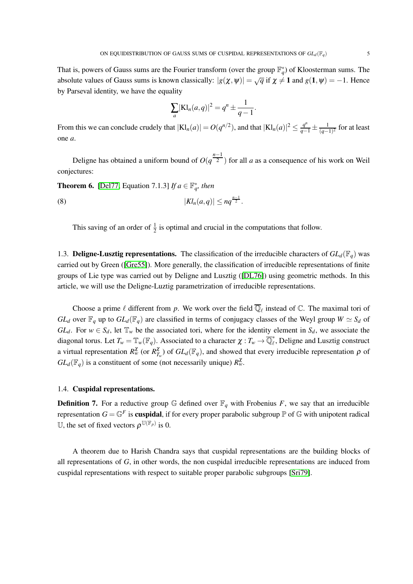That is, powers of Gauss sums are the Fourier transform (over the group  $\mathbb{F}_q^*$ ) of Kloosterman sums. The absolute values of Gauss sums is known classically:  $|g(\chi, \psi)| = \sqrt{q}$  if  $\chi \neq 1$  and  $g(1, \psi) = -1$ . Hence by Parseval identity, we have the equality

$$
\sum_{a} |\mathbf{K} \mathbf{l}_n(a, q)|^2 = q^n \pm \frac{1}{q-1}.
$$

From this we can conclude crudely that  $|Kl_n(a)| = O(q^{n/2})$ , and that  $|Kl_n(a)|^2 \le \frac{q^n}{q-1} \pm \frac{1}{(q-1)^n}$  $\frac{1}{(q-1)^2}$  for at least one *a*.

Deligne has obtained a uniform bound of  $O(q^{\frac{n-1}{2}})$  for all *a* as a consequence of his work on Weil conjectures:

<span id="page-4-0"></span>**Theorem 6.** [\[Del77,](#page-14-5) Equation 7.1.3] *If*  $a \in \mathbb{F}_q^*$ , then

(8)  $|Kl_n(a,q)| \le nq^{\frac{n-1}{2}}$ .

This saving of an order of  $\frac{1}{2}$  is optimal and crucial in the computations that follow.

1.3. **Deligne-Lusztig representations.** The classification of the irreducible characters of  $GL_d(\mathbb{F}_q)$  was carried out by Green ([\[Gre55\]](#page-14-2)). More generally, the classification of irreducible representations of finite groups of Lie type was carried out by Deligne and Lusztig ([\[DL76\]](#page-14-6)) using geometric methods. In this article, we will use the Deligne-Luztig parametrization of irreducible representations.

Choose a prime  $\ell$  different from p. We work over the field  $\overline{\mathbb{Q}}_{\ell}$  instead of  $\mathbb{C}$ . The maximal tori of *GL*<sup>*d*</sup> over  $\mathbb{F}_q$  up to  $GL_d(\mathbb{F}_q)$  are classified in terms of conjugacy classes of the Weyl group  $W \simeq S_d$  of *GL*<sup>*d*</sup>. For  $w \in S_d$ , let  $\mathbb{T}_w$  be the associated tori, where for the identity element in  $S_d$ , we associate the diagonal torus. Let  $T_w = \mathbb{T}_w(\mathbb{F}_q)$ . Associated to a character  $\chi: T_w \to \overline{\mathbb{Q}}_\ell^*$ , Deligne and Lusztig construct a virtual representation  $R_w^{\chi}$  (or  $R_{T_w}^{\chi}$ ) of  $GL_d(\mathbb{F}_q)$ , and showed that every irreducible representation  $\rho$  of  $GL_d(\mathbb{F}_q)$  is a constituent of some (not necessarily unique)  $R_w^{\chi}$ .

### 1.4. Cuspidal representations.

**Definition 7.** For a reductive group  $\mathbb{G}$  defined over  $\mathbb{F}_q$  with Frobenius F, we say that an irreducible representation  $G = \mathbb{G}^F$  is **cuspidal**, if for every proper parabolic subgroup  $\mathbb{P}$  of  $\mathbb{G}$  with unipotent radical U, the set of fixed vectors  $\rho^{\mathbb{U}(\mathbb{F}_p)}$  is 0.

A theorem due to Harish Chandra says that cuspidal representations are the building blocks of all representations of *G*, in other words, the non cuspidal irreducible representations are induced from cuspidal representations with respect to suitable proper parabolic subgroups [\[Sri79\]](#page-14-7).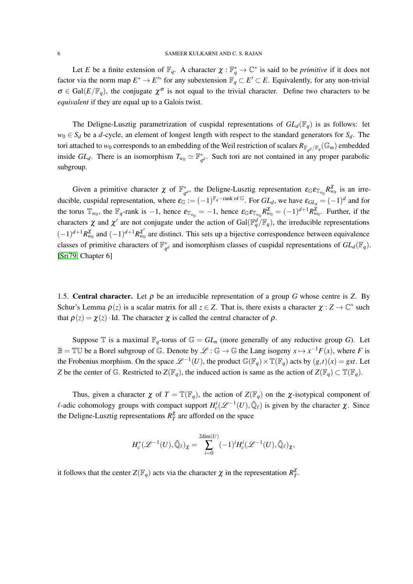Let *E* be a finite extension of  $\mathbb{F}_q$ . A character  $\chi : \mathbb{F}_q^* \to \mathbb{C}^*$  is said to be *primitive* if it does not factor via the norm map  $E^* \to E'^*$  for any subextension  $\mathbb{F}_q \subset E' \subset E$ . Equivalently, for any non-trivial  $\sigma \in \text{Gal}(E/\mathbb{F}_q)$ , the conjugate  $\chi^{\sigma}$  is not equal to the trivial character. Define two characters to be *equivalent* if they are equal up to a Galois twist.

The Deligne-Lusztig parametrization of cuspidal representations of  $GL_d(\mathbb{F}_q)$  is as follows: let  $w_0 \in S_d$  be a *d*-cycle, an element of longest length with respect to the standard generators for  $S_d$ . The tori attached to  $w_0$  corresponds to an embedding of the Weil restriction of scalars  $R_{\mathbb{F}_{q^d}/\mathbb{F}_q}(\mathbb{G}_m)$  embedded inside  $GL_d$ . There is an isomorphism  $T_{w_0} \simeq \mathbb{F}_{q^d}^*$ . Such tori are not contained in any proper parabolic subgroup.

Given a primitive character  $\chi$  of  $\mathbb{F}_{q^d}^*$ , the Deligne-Lusztig representation  $\varepsilon_{\mathbb{G}}\varepsilon_{\mathbb{T}_{w_0}}R^{\chi}_{w_0}$  is an irreducible, cuspidal representation, where  $\varepsilon_{\mathbb{G}} := (-1)^{\mathbb{F}_q - \text{rank of } \mathbb{G}}$ . For  $GL_d$ , we have  $\varepsilon_{GL_d} = (-1)^d$  and for the torus  $\mathbb{T}_{w_0}$ , the  $\mathbb{F}_q$ -rank is -1, hence  $\varepsilon_{\mathbb{T}_{w_0}} = -1$ , hence  $\varepsilon_{\mathbb{G}} \varepsilon_{\mathbb{T}_{w_0}} R_{w_0}^{\chi} = (-1)^{d+1} R_{w_0}^{\chi}$ . Further, if the characters  $\chi$  and  $\chi'$  are not conjugate under the action of Gal( $\mathbb{F}_q^d/\mathbb{F}_q$ ), the irreducible representations  $(-1)^{d+1}R_{w_0}^{\chi}$  and  $(-1)^{d+1}R_{w_0}^{\chi'}$  are distinct. This sets up a bijective correspondence between equivalence classes of primitive characters of  $\mathbb{F}_{q^d}^*$  and isomorphism classes of cuspidal representations of  $GL_d(\mathbb{F}_q)$ . [\[Sri79,](#page-14-7) Chapter 6]

1.5. **Central character.** Let  $\rho$  be an irreducible representation of a group *G* whose centre is *Z*. By Schur's Lemma  $\rho(z)$  is a scalar matrix for all  $z \in Z$ . That is, there exists a character  $\chi : Z \to \mathbb{C}^*$  such that  $\rho(z) = \chi(z) \cdot \text{Id}$ . The character  $\chi$  is called the central character of  $\rho$ .

Suppose T is a maximal  $\mathbb{F}_q$ -torus of  $\mathbb{G} = GL_n$  (more generally of any reductive group *G*). Let  $\mathbb{B} = \mathbb{T} \mathbb{U}$  be a Borel subgroup of  $\mathbb{G}$ . Denote by  $\mathscr{L} : \mathbb{G} \to \mathbb{G}$  the Lang isogeny  $x \mapsto x^{-1}F(x)$ , where *F* is the Frobenius morphism. On the space  $\mathcal{L}^{-1}(U)$ , the product  $\mathbb{G}(\mathbb{F}_q) \times \mathbb{T}(\mathbb{F}_q)$  acts by  $(g,t)(x) = gxt$ . Let *Z* be the center of G. Restricted to  $Z(\mathbb{F}_q)$ , the induced action is same as the action of  $Z(\mathbb{F}_q) \subset \mathbb{T}(\mathbb{F}_q)$ .

Thus, given a character  $\chi$  of  $T = \mathbb{T}(\mathbb{F}_q)$ , the action of  $Z(\mathbb{F}_q)$  on the  $\chi$ -isotypical component of  $\ell$ -adic cohomology groups with compact support  $H_c^i(\mathcal{L}^{-1}(U), \overline{\mathbb{Q}}_{\ell})$  is given by the character  $\chi$ . Since the Deligne-Lusztig representations  $R_T^{\chi}$  are afforded on the space

$$
H_c^*(\mathscr{L}^{-1}(U),\bar{\mathbb{Q}}_\ell)_\chi=\sum_{i=0}^{2\mathrm{dim}(U)}(-1)^iH_c^i(\mathscr{L}^{-1}(U),\bar{\mathbb{Q}}_\ell)_\chi,
$$

it follows that the center  $Z(\mathbb{F}_q)$  acts via the character  $\chi$  in the representation  $R_T^{\chi}$ .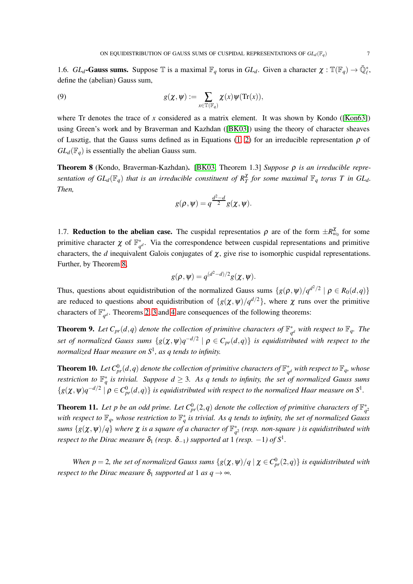1.6. *GL*<sub>*d*</sub>-Gauss sums. Suppose  $\mathbb{T}$  is a maximal  $\mathbb{F}_q$  torus in *GL*<sub>*d*</sub>. Given a character  $\chi : \mathbb{T}(\mathbb{F}_q) \to \overline{\mathbb{Q}}_l^*$ , define the (abelian) Gauss sum,

(9) 
$$
g(\chi,\psi):=\sum_{x\in\mathbb{T}(\mathbb{F}_q)}\chi(x)\psi(\mathrm{Tr}(x)),
$$

where Tr denotes the trace of *x* considered as a matrix element. It was shown by Kondo ([\[Kon63\]](#page-14-8)) using Green's work and by Braverman and Kazhdan ([\[BK03\]](#page-14-9)) using the theory of character sheaves of Lusztig, that the Gauss sums defined as in Equations [\(1,](#page-0-0) [2\)](#page-1-0) for an irreducible representation  $\rho$  of  $GL_d(\mathbb{F}_q)$  is essentially the abelian Gauss sum.

<span id="page-6-0"></span>Theorem 8 (Kondo, Braverman-Kazhdan). [\[BK03,](#page-14-9) Theorem 1.3] *Suppose* ρ *is an irreducible representation of*  $GL_d(\mathbb{F}_q)$  *that is an irreducible constituent of*  $R_T^{\chi}$  *for some maximal*  $\mathbb{F}_q$  *<i>torus*  $T$  *in*  $GL_d$ *. Then,*

$$
g(\rho,\psi)=q^{\frac{d^2-d}{2}}g(\chi,\psi).
$$

<span id="page-6-3"></span>1.7. **Reduction to the abelian case.** The cuspidal representatios  $\rho$  are of the form  $\pm R_{w_0}^{\chi}$  for some primitive character  $\chi$  of  $\mathbb{F}_{q^d}^*$ . Via the correspondence between cuspidal representations and primitive characters, the *d* inequivalent Galois conjugates of  $\chi$ , give rise to isomorphic cuspidal representations. Further, by Theorem [8,](#page-6-0)

$$
g(\rho, \psi) = q^{(d^2-d)/2} g(\chi, \psi).
$$

Thus, questions about equidistribution of the normalized Gauss sums  $\{g(\rho, \psi)/q^{d^2/2} \mid \rho \in R_0(d, q)\}\$ are reduced to questions about equidistribution of  $\{g(\chi,\psi)/q^{d/2}\}\,$ , where  $\chi$  runs over the primitive characters of  $\mathbb{F}_{q^d}^*$ . Theorems [2,](#page-1-1) [3](#page-1-2) and [4](#page-2-0) are consequences of the following theorems:

<span id="page-6-1"></span>**Theorem 9.** Let  $C_{pr}(d,q)$  denote the collection of primitive characters of  $\mathbb{F}_{q^d}^*$  with respect to  $\mathbb{F}_q$ . The *set of normalized Gauss sums*  $\{g(\chi,\psi)q^{-d/2} \mid \rho \in C_{pr}(d,q)\}$  *is equidistributed with respect to the normalized Haar measure on S*<sup>1</sup> *, as q tends to infinity.*

<span id="page-6-2"></span>**Theorem 10.** Let  $C_{pr}^0(d,q)$  denote the collection of primitive characters of  $\mathbb{F}_{q^d}^*$  with respect to  $\mathbb{F}_q$ , whose *restriction to*  $\mathbb{F}_q^*$  *is trivial. Suppose*  $d \geq 3$ *. As q tends to infinity, the set of normalized Gauss sums*  $\{g(\chi,\psi)q^{-d/2} \mid \rho \in C_{pr}^{0}(d,q)\}\$  *is equidistributed with respect to the normalized Haar measure on*  $S^{1}$ *.* 

<span id="page-6-4"></span>**Theorem 11.** Let p be an odd prime. Let  $C_{pr}^{0}(2,q)$  denote the collection of primitive characters of  $\mathbb{F}_{q^2}^*$ with respect to  $\mathbb{F}_q$ , whose restriction to  $\mathbb{F}_q^*$  is trivial. As q tends to infinity, the set of normalized Gauss  $s$ ums  $\{g(\pmb{\chi},\pmb{\psi})/q\}$  where  $\pmb{\chi}$  is a square of a character of  $\mathbb{F}_{q^2}^*$  (resp. non-square ) is equidistributed with *respect to the Dirac measure*  $\delta_1$  *(resp.*  $\delta_{-1}$ *) supported at* 1 *(resp.*  $-1$ *) of*  $S^1$ *.* 

*When p* = 2, the set of normalized Gauss sums  $\{g(\chi,\psi)/q \mid \chi \in C_{pr}^{0}(2,q)\}$  is equidistributed with *respect to the Dirac measure*  $\delta_1$  *supported at* 1 *as*  $q \rightarrow \infty$ *.*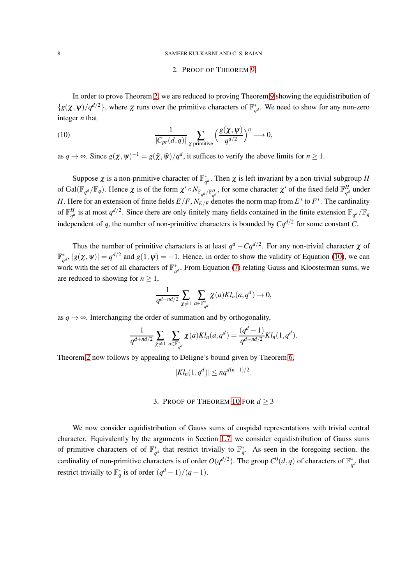#### 8 SAMEER KULKARNI AND C. S. RAJAN

### <span id="page-7-0"></span>2. PROOF OF THEOREM [9](#page-6-1)

In order to prove Theorem [2,](#page-1-1) we are reduced to proving Theorem [9](#page-6-1) showing the equidistribution of  ${g(\chi, \psi)}/{q^{d/2}}$ , where  $\chi$  runs over the primitive characters of  $\mathbb{F}_{q^d}^*$ . We need to show for any non-zero integer *n* that

(10) 
$$
\frac{1}{|C_{pr}(d,q)|} \sum_{\chi \text{ primitive}} \left(\frac{g(\chi,\psi)}{q^{d/2}}\right)^n \longrightarrow 0,
$$

as  $q \to \infty$ . Since  $g(\chi, \psi)^{-1} = g(\bar{\chi}, \bar{\psi})/q^d$ , it suffices to verify the above limits for  $n \ge 1$ .

Suppose  $\chi$  is a non-primitive character of  $\mathbb{F}_{q^d}^*$ . Then  $\chi$  is left invariant by a non-trivial subgroup *H* of Gal( $\mathbb{F}_{q^d}/\mathbb{F}_q$ ). Hence  $\chi$  is of the form  $\chi' \circ N_{\mathbb{F}_{q^d}/\mathbb{F}_{q^d}^H}$ , for some character  $\chi'$  of the fixed field  $\mathbb{F}_{q^d}^H$  $_q^d$  under *H*. Here for an extension of finite fields  $E/F$  ,  $N_{E/F}$  denotes the norm map from  $E^*$  to  $F^*$  . The cardinality of  $\mathbb{F}^H$ <sub>o</sub>d  $\frac{H}{q^d}$  is at most  $q^{d/2}$ . Since there are only finitely many fields contained in the finite extension  $\mathbb{F}_{q^d}/\mathbb{F}_q$ independent of q, the number of non-primitive characters is bounded by  $Cq^{d/2}$  for some constant C.

Thus the number of primitive characters is at least  $q^d - Cq^{d/2}$ . For any non-trivial character  $\chi$  of  $\mathbb{F}_{q^d}^*$ ,  $|g(\chi, \psi)| = q^{d/2}$  and  $g(1, \psi) = -1$ . Hence, in order to show the validity of Equation [\(10\)](#page-7-0), we can work with the set of all characters of  $\mathbb{F}_{q^d}^*$ . From Equation [\(7\)](#page-3-0) relating Gauss and Kloosterman sums, we are reduced to showing for  $n \geq 1$ ,

$$
\frac{1}{q^{d+nd/2}}\sum_{\chi\neq 1}\sum_{a\in \mathbb F_{q^d}^*}\chi(a)Kl_n(a,q^d)\to 0,
$$

as  $q \rightarrow \infty$ . Interchanging the order of summation and by orthogonality,

$$
\frac{1}{q^{d+nd/2}} \sum_{\chi \neq 1} \sum_{a \in \mathbb{F}_{q^d}^*} \chi(a) K l_n(a,q^d) = \frac{(q^d-1)}{q^{d+nd/2}} K l_n(1,q^d).
$$

Theorem [2](#page-1-1) now follows by appealing to Deligne's bound given by Theorem [6,](#page-4-0)

$$
|Kl_n(1,q^d)| \le nq^{d(n-1)/2}.
$$

# 3. PROOF OF THEOREM [10](#page-6-2) FOR  $d \geq 3$

We now consider equidistribution of Gauss sums of cuspidal representations with trivial central character. Equivalently by the arguments in Section [1.7,](#page-6-3) we consider equidistribution of Gauss sums of primitive characters of of  $\mathbb{F}_{q^d}^*$  that restrict trivially to  $\mathbb{F}_q^*$ . As seen in the foregoing section, the cardinality of non-primitive characters is of order  $O(q^{d/2})$ . The group  $C^0(d,q)$  of characters of  $\mathbb{F}_{q^d}^*$  that restrict trivially to  $\mathbb{F}_q^*$  is of order  $(q^d-1)/(q-1)$ .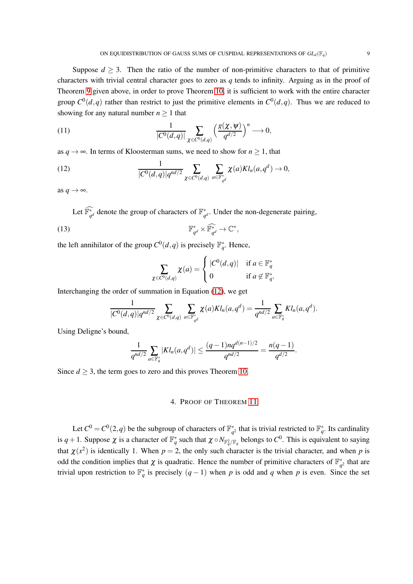Suppose  $d \geq 3$ . Then the ratio of the number of non-primitive characters to that of primitive characters with trivial central character goes to zero as *q* tends to infinity. Arguing as in the proof of Theorem [9](#page-6-1) given above, in order to prove Theorem [10,](#page-6-2) it is sufficient to work with the entire character group  $C^0(d,q)$  rather than restrict to just the primitive elements in  $C^0(d,q)$ . Thus we are reduced to showing for any natural number  $n \geq 1$  that

(11) 
$$
\frac{1}{|C^0(d,q)|}\sum_{\chi\in C^0(d,q)}\left(\frac{g(\chi,\psi)}{q^{d/2}}\right)^n\longrightarrow 0,
$$

as  $q \rightarrow \infty$ . In terms of Kloosterman sums, we need to show for  $n \geq 1$ , that

<span id="page-8-0"></span>(12) 
$$
\frac{1}{|C^{0}(d,q)|q^{nd/2}}\sum_{\chi \in C^{0}(d,q)}\sum_{a \in \mathbb{F}_{q^{d}}^{*}}\chi(a)Kl_{n}(a,q^{d}) \to 0,
$$

as  $q \rightarrow \infty$ .

Let  $\mathbb{F}_{q^d}^*$  denote the group of characters of  $\mathbb{F}_{q^d}^*$ . Under the non-degenerate pairing,

(13) 
$$
\mathbb{F}_{q^d}^* \times \widehat{\mathbb{F}_{q^d}^*} \to \mathbb{C}^*,
$$

the left annihilator of the group  $C^0(d,q)$  is precisely  $\mathbb{F}_q^*$ . Hence,

<span id="page-8-1"></span>
$$
\sum_{\chi \in C^0(d,q)} \chi(a) = \begin{cases} |C^0(d,q)| & \text{if } a \in \mathbb{F}_q^* \\ 0 & \text{if } a \notin \mathbb{F}_q^* . \end{cases}
$$

Interchanging the order of summation in Equation [\(12\)](#page-8-0), we get

$$
\frac{1}{|C^0(d,q)|q^{nd/2}}\sum_{\chi\in C^0(d,q)}\sum_{a\in \mathbb{F}_{q^d}^*}\chi(a)Kl_n(a,q^d)=\frac{1}{q^{nd/2}}\sum_{a\in \mathbb{F}_{q}^*}Kl_n(a,q^d).
$$

Using Deligne's bound,

$$
\frac{1}{q^{nd/2}}\sum_{a\in \mathbb{F}_q^*} |Kl_n(a,q^d)| \leq \frac{(q-1)nq^{d(n-1)/2}}{q^{nd/2}} = \frac{n(q-1)}{q^{d/2}}.
$$

Since  $d \geq 3$ , the term goes to zero and this proves Theorem [10.](#page-6-2)

## 4. PROOF OF THEOREM [11](#page-6-4)

Let  $C^0 = C^0(2,q)$  be the subgroup of characters of  $\mathbb{F}_{q^2}^*$  that is trivial restricted to  $\mathbb{F}_q^*$ . Its cardinality is  $q+1$ . Suppose  $\chi$  is a character of  $\mathbb{F}_q^*$  such that  $\chi \circ N_{\mathbb{F}_q^2/\mathbb{F}_q}$  belongs to  $C^0$ . This is equivalent to saying that  $\chi(x^2)$  is identically 1. When  $p = 2$ , the only such character is the trivial character, and when p is odd the condition implies that  $\chi$  is quadratic. Hence the number of primitive characters of  $\mathbb{F}_{q^2}^*$  that are trivial upon restriction to  $\mathbb{F}_q^*$  is precisely  $(q-1)$  when *p* is odd and *q* when *p* is even. Since the set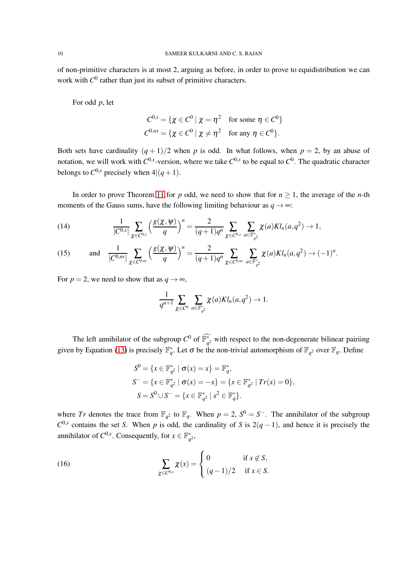of non-primitive characters is at most 2, arguing as before, in order to prove to equidistribution we can work with  $C^0$  rather than just its subset of primitive characters.

For odd *p*, let

$$
C^{0,s} = \{ \chi \in C^0 \mid \chi = \eta^2 \quad \text{for some } \eta \in C^0 \}
$$
  

$$
C^{0,ns} = \{ \chi \in C^0 \mid \chi \neq \eta^2 \quad \text{for any } \eta \in C^0 \}.
$$

Both sets have cardinality  $(q + 1)/2$  when *p* is odd. In what follows, when  $p = 2$ , by an abuse of notation, we will work with  $C^{0,s}$ -version, where we take  $C^{0,s}$  to be equal to  $C^0$ . The quadratic character belongs to  $C^{0,s}$  precisely when  $4|(q+1)$ .

In order to prove Theorem [11](#page-6-4) for *p* odd, we need to show that for  $n \ge 1$ , the average of the *n*-th moments of the Gauss sums, have the following limiting behaviour as  $q \rightarrow \infty$ :

<span id="page-9-1"></span>(14) 
$$
\frac{1}{|C^{0,s}|}\sum_{\chi\in C^{0,s}}\left(\frac{g(\chi,\psi)}{q}\right)^n=\frac{2}{(q+1)q^n}\sum_{\chi\in C^{0,s}}\sum_{a\in\mathbb{F}_{q^2}^*}\chi(a)Kl_n(a,q^2)\to 1,
$$

<span id="page-9-2"></span>(15) and 
$$
\frac{1}{|C^{0,ns}|}\sum_{\chi \in C^{0,ns}} \left(\frac{g(\chi,\psi)}{q}\right)^n = \frac{2}{(q+1)q^n} \sum_{\chi \in C^{0,ns}} \sum_{a \in \mathbb{F}_{q^2}^*} \chi(a) Kl_n(a,q^2) \to (-1)^n
$$
.

For  $p = 2$ , we need to show that as  $q \rightarrow \infty$ ,

$$
\frac{1}{q^{n+1}}\sum_{\chi\in C^0}\sum_{a\in\mathbb{F}_{q^2}^*}\chi(a)Kl_n(a,q^2)\to 1.
$$

The left annihilator of the subgroup  $C^0$  of  $\mathbb{F}_{q^2}^*$  with respect to the non-degenerate bilinear pairiing given by Equation [\(13\)](#page-8-1) is precisely  $\mathbb{F}_q^*$ . Let  $\sigma$  be the non-trivial automorphism of  $\mathbb{F}_{q^2}$  over  $\mathbb{F}_q$ . Define

<span id="page-9-0"></span>
$$
S^{0} = \{x \in \mathbb{F}_{q^{2}}^{*} \mid \sigma(x) = x\} = \mathbb{F}_{q}^{*},
$$
  
\n
$$
S^{-} = \{x \in \mathbb{F}_{q^{2}}^{*} \mid \sigma(x) = -x\} = \{x \in \mathbb{F}_{q^{2}}^{*} \mid Tr(x) = 0\},
$$
  
\n
$$
S = S^{0} \cup S^{-} = \{x \in \mathbb{F}_{q^{2}}^{*} \mid x^{2} \in \mathbb{F}_{q}^{*}\}.
$$

where *Tr* denotes the trace from  $\mathbb{F}_{q^2}$  to  $\mathbb{F}_q$ . When  $p = 2$ ,  $S^0 = S^-$ . The annihilator of the subgroup  $C^{0,s}$  contains the set *S*. When *p* is odd, the cardinality of *S* is 2(*q* − 1), and hence it is precisely the annihilator of  $C^{0,s}$ . Consequently, for  $x \in \mathbb{F}_{q^2}^*$ ,

(16) 
$$
\sum_{\chi \in C^{0,s}} \chi(x) = \begin{cases} 0 & \text{if } x \notin S, \\ (q-1)/2 & \text{if } x \in S. \end{cases}
$$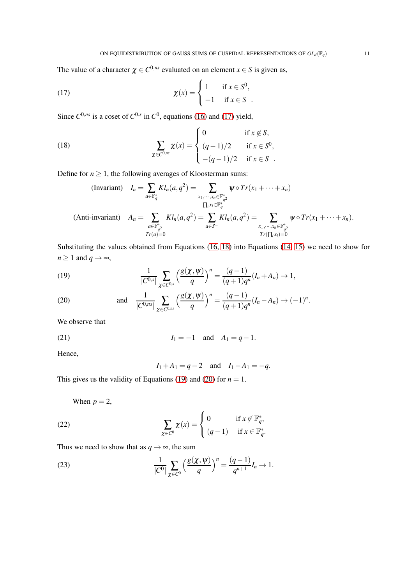The value of a character  $\chi \in C^{0,ns}$  evaluated on an element  $x \in S$  is given as,

<span id="page-10-0"></span>(17) 
$$
\chi(x) = \begin{cases} 1 & \text{if } x \in S^0, \\ -1 & \text{if } x \in S^-.\end{cases}
$$

Since  $C^{0,ns}$  is a coset of  $C^{0,s}$  in  $C^0$ , equations [\(16\)](#page-9-0) and [\(17\)](#page-10-0) yield,

(18) 
$$
\sum_{\chi \in C^{0,ns}} \chi(x) = \begin{cases} 0 & \text{if } x \notin S, \\ (q-1)/2 & \text{if } x \in S^{0}, \\ -(q-1)/2 & \text{if } x \in S^{-}.\end{cases}
$$

Define for  $n \geq 1$ , the following averages of Kloosterman sums:

<span id="page-10-1"></span>(Invariant) 
$$
I_n = \sum_{a \in \mathbb{F}_q^*} Kl_n(a, q^2) = \sum_{x_1, \dots, x_n \in \mathbb{F}_{q^2}^*} \psi \circ Tr(x_1 + \dots + x_n)
$$
  
\n $\prod_i x_i \in \mathbb{F}_q^* \atop I_i x_i \in \mathbb{F}_{q^2}^*} Kl_n(a, q^2) = \sum_{a \in S^-} Kl_n(a, q^2) = \sum_{x_1, \dots, x_n \in \mathbb{F}_{q^2}^*} \psi \circ Tr(x_1 + \dots + x_n).$   
\n $\text{Anti-invariant)} \quad A_n = \sum_{\substack{a \in \mathbb{F}_{q^2}^* \\ Tr(a) = 0}} Kl_n(a, q^2) = \sum_{\substack{a \in S^- \\ Tr(\prod_i x_i) = 0}} \psi \circ Tr(x_1 + \dots + x_n).$ 

Substituting the values obtained from Equations [\(16,](#page-9-0) [18\)](#page-10-1) into Equations [\(14,](#page-9-1) [15\)](#page-9-2) we need to show for  $n \geq 1$  and  $q \to \infty$ ,

<span id="page-10-2"></span>(19) 
$$
\frac{1}{|C^{0,s}|}\sum_{\chi\in C^{0,s}}\left(\frac{g(\chi,\psi)}{q}\right)^n=\frac{(q-1)}{(q+1)q^n}(I_n+A_n)\to 1,
$$

<span id="page-10-3"></span>(20) and 
$$
\frac{1}{|C^{0,ns}|}\sum_{\chi \in C^{0,ns}} \left(\frac{g(\chi,\psi)}{q}\right)^n = \frac{(q-1)}{(q+1)q^n}(I_n - A_n) \to (-1)^n
$$
.

We observe that

(21) 
$$
I_1 = -1
$$
 and  $A_1 = q - 1$ .

Hence,

*I*<sub>1</sub> + *A*<sub>1</sub> = *q* − 2 and *I*<sub>1</sub> − *A*<sub>1</sub> = −*q*.

This gives us the validity of Equations [\(19\)](#page-10-2) and [\(20\)](#page-10-3) for  $n = 1$ .

When  $p = 2$ ,

(22) 
$$
\sum_{\chi \in C^0} \chi(x) = \begin{cases} 0 & \text{if } x \notin \mathbb{F}_q^*, \\ (q-1) & \text{if } x \in \mathbb{F}_q^*.\end{cases}
$$

Thus we need to show that as  $q \rightarrow \infty$ , the sum

<span id="page-10-4"></span>(23) 
$$
\frac{1}{|C^0|} \sum_{\chi \in C^0} \left( \frac{g(\chi, \psi)}{q} \right)^n = \frac{(q-1)}{q^{n+1}} I_n \to 1.
$$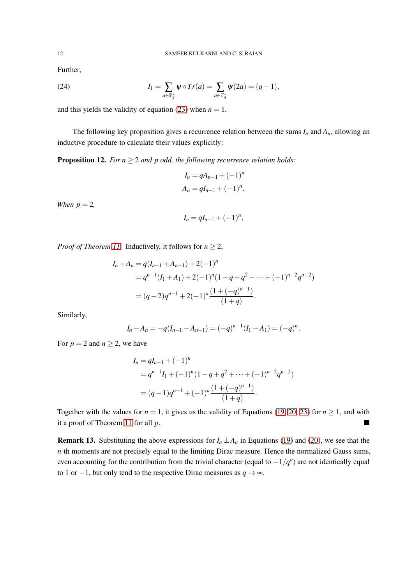Further,

(24) 
$$
I_1 = \sum_{a \in \mathbb{F}_q^*} \psi \circ Tr(a) = \sum_{a \in \mathbb{F}_q^*} \psi(2a) = (q-1),
$$

and this yields the validity of equation [\(23\)](#page-10-4) when  $n = 1$ .

The following key proposition gives a recurrence relation between the sums  $I_n$  and  $A_n$ , allowing an inductive procedure to calculate their values explicitly:

**Proposition 12.** *For*  $n \geq 2$  *and p odd, the following recurrence relation holds:* 

$$
I_n = qA_{n-1} + (-1)^n
$$
  

$$
A_n = qI_{n-1} + (-1)^n.
$$

*When*  $p = 2$ *,* 

$$
I_n=qI_{n-1}+(-1)^n.
$$

*Proof of Theorem [11.](#page-6-4)* Inductively, it follows for  $n \geq 2$ ,

$$
I_n + A_n = q(I_{n-1} + A_{n-1}) + 2(-1)^n
$$
  
=  $q^{n-1}(I_1 + A_1) + 2(-1)^n(1 - q + q^2 + \dots + (-1)^{n-2}q^{n-2})$   
=  $(q-2)q^{n-1} + 2(-1)^n\frac{(1 + (-q)^{n-1})}{(1+q)}.$ 

Similarly,

$$
I_n - A_n = -q(I_{n-1} - A_{n-1}) = (-q)^{n-1}(I_1 - A_1) = (-q)^n.
$$

For  $p = 2$  and  $n \ge 2$ , we have

$$
I_n = qI_{n-1} + (-1)^n
$$
  
=  $q^{n-1}I_1 + (-1)^n(1-q+q^2+\cdots+(-1)^{n-2}q^{n-2})$   
=  $(q-1)q^{n-1} + (-1)^n\frac{(1+(-q)^{n-1})}{(1+q)}.$ 

Together with the values for  $n = 1$ , it gives us the validity of Equations [\(19,](#page-10-2) [20,](#page-10-3) [23\)](#page-10-4) for  $n \ge 1$ , and with it a proof of Theorem [11](#page-6-4) for all *p*.

**Remark 13.** Substituting the above expressions for  $I_n \pm A_n$  in Equations [\(19\)](#page-10-2) and [\(20\)](#page-10-3), we see that the *n*-th moments are not precisely equal to the limiting Dirac measure. Hence the normalized Gauss sums, even accounting for the contribution from the trivial character (equal to  $-1/q^n$ ) are not identically equal to 1 or  $-1$ , but only tend to the respective Dirac measures as *q*  $\rightarrow \infty$ .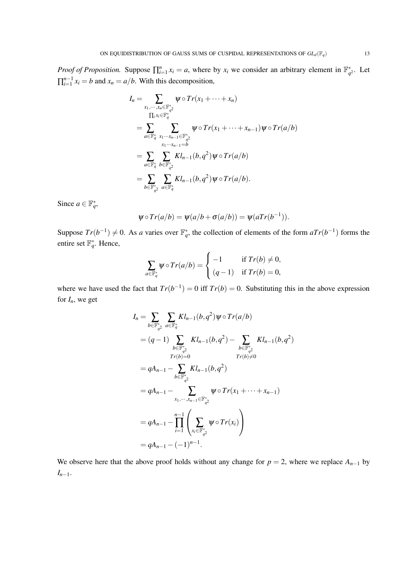*Proof of Proposition.* Suppose  $\prod_{i=1}^{n} x_i = a$ , where by  $x_i$  we consider an arbitrary element in  $\mathbb{F}_{q^2}^*$ . Let  $\prod_{i=1}^{n-1} x_i = b$  and  $x_n = a/b$ . With this decomposition,

$$
I_{n} = \sum_{x_{1}, \dots, x_{n} \in \mathbb{F}_{q}^{*}} \psi \circ Tr(x_{1} + \dots + x_{n})
$$
  
\n
$$
\Pi_{i} x_{i} \in \mathbb{F}_{q}^{*}
$$
  
\n
$$
= \sum_{a \in \mathbb{F}_{q}^{*}} \sum_{x_{1} \dots x_{n-1} \in \mathbb{F}_{q}^{*}} \psi \circ Tr(x_{1} + \dots + x_{n-1}) \psi \circ Tr(a/b)
$$
  
\n
$$
= \sum_{a \in \mathbb{F}_{q}^{*}} \sum_{b \in \mathbb{F}_{q}^{*}} K l_{n-1}(b, q^{2}) \psi \circ Tr(a/b)
$$
  
\n
$$
= \sum_{b \in \mathbb{F}_{q}^{*}} \sum_{a \in \mathbb{F}_{q}^{*}} K l_{n-1}(b, q^{2}) \psi \circ Tr(a/b).
$$

Since  $a \in \mathbb{F}_q^*$ ,

$$
\psi \circ Tr(a/b) = \psi(a/b + \sigma(a/b)) = \psi(aTr(b^{-1})).
$$

Suppose  $Tr(b^{-1}) \neq 0$ . As *a* varies over  $\mathbb{F}_q^*$ , the collection of elements of the form  $aTr(b^{-1})$  forms the entire set  $\mathbb{F}_q^*$ . Hence,

$$
\sum_{a \in \mathbb{F}_q^*} \psi \circ Tr(a/b) = \begin{cases} -1 & \text{if } Tr(b) \neq 0, \\ (q-1) & \text{if } Tr(b) = 0, \end{cases}
$$

where we have used the fact that  $Tr(b^{-1}) = 0$  iff  $Tr(b) = 0$ . Substituting this in the above expression for  $I_n$ , we get

$$
I_{n} = \sum_{b \in \mathbb{F}_{q}^{*}} \sum_{a \in \mathbb{F}_{q}^{*}} K l_{n-1}(b, q^{2}) \psi \circ Tr(a/b)
$$
  
\n
$$
= (q - 1) \sum_{b \in \mathbb{F}_{q^{2}}^{*}} K l_{n-1}(b, q^{2}) - \sum_{b \in \mathbb{F}_{q^{2}}^{*}} K l_{n-1}(b, q^{2})
$$
  
\n
$$
= qA_{n-1} - \sum_{b \in \mathbb{F}_{q^{2}}^{*}} K l_{n-1}(b, q^{2})
$$
  
\n
$$
= qA_{n-1} - \sum_{x_{1}, \dots, x_{n-1} \in \mathbb{F}_{q^{2}}^{*}} \psi \circ Tr(x_{1} + \dots + x_{n-1})
$$
  
\n
$$
= qA_{n-1} - \prod_{i=1}^{n-1} \left( \sum_{x_{i} \in \mathbb{F}_{q^{2}}^{*}} \psi \circ Tr(x_{i}) \right)
$$
  
\n
$$
= qA_{n-1} - (-1)^{n-1}.
$$

We observe here that the above proof holds without any change for  $p = 2$ , where we replace  $A_{n-1}$  by *In*−1.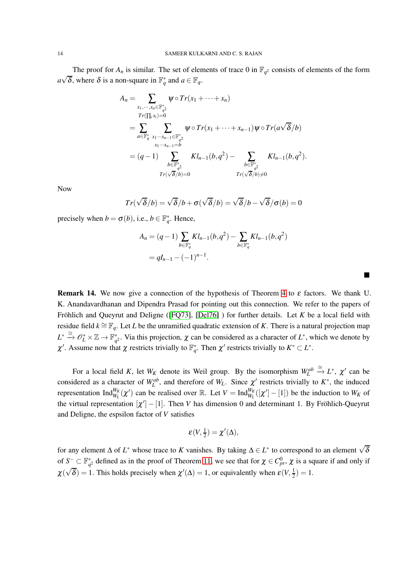The proof for  $A_n$  is similar. The set of elements of trace 0 in  $\mathbb{F}_{q^2}$  consists of elements of the form  $a\sqrt{\delta}$ , where  $\delta$  is a non-square in  $\mathbb{F}_q^*$  and  $a \in \mathbb{F}_q$ .

$$
A_{n} = \sum_{\substack{x_{1}, \dots, x_{n} \in \mathbb{F}_{q^{2}}^{*} \\ Tr(\prod_{i} x_{i}) = 0}} \psi \circ Tr(x_{1} + \dots + x_{n})
$$
  
\n
$$
= \sum_{a \in \mathbb{F}_{q}^{*}} \sum_{\substack{x_{1} \dots x_{n-1} \in \mathbb{F}_{q^{2}}^{*} \\ x_{1} \dots x_{n-1} = b}} \psi \circ Tr(x_{1} + \dots + x_{n-1}) \psi \circ Tr(a \sqrt{\delta}/b)
$$
  
\n
$$
= (q - 1) \sum_{\substack{b \in \mathbb{F}_{q^{2}}^{*} \\ Tr(\sqrt{\delta}/b) = 0}} Kl_{n-1}(b, q^{2}) - \sum_{\substack{b \in \mathbb{F}_{q^{2}}^{*} \\ Tr(\sqrt{\delta}/b) \neq 0}} Kl_{n-1}(b, q^{2}).
$$

Now

$$
Tr(\sqrt{\delta}/b) = \sqrt{\delta}/b + \sigma(\sqrt{\delta}/b) = \sqrt{\delta}/b - \sqrt{\delta}/\sigma(b) = 0
$$

precisely when  $b = \sigma(b)$ , i.e.,  $b \in \mathbb{F}_q^*$ . Hence,

$$
A_n = (q-1) \sum_{b \in \mathbb{F}_q^*} K l_{n-1}(b, q^2) - \sum_{b \in \mathbb{F}_q^*} K l_{n-1}(b, q^2)
$$
  
=  $qI_{n-1} - (-1)^{n-1}$ .

П

<span id="page-13-0"></span>**Remark 14.** We now give a connection of the hypothesis of Theorem [4](#page-2-0) to  $\varepsilon$  factors. We thank U. K. Anandavardhanan and Dipendra Prasad for pointing out this connection. We refer to the papers of Fröhlich and Queyrut and Deligne ( $[FO73]$ ,  $[Del76]$ ) for further details. Let *K* be a local field with residue field  $k \cong \mathbb{F}_q$ . Let *L* be the unramified quadratic extension of *K*. There is a natural projection map  $L^* \stackrel{\cong}{\to} \mathscr{O}_L^* \times \mathbb{Z} \to \mathbb{F}_{q^2}^*$ . Via this projection,  $\chi$  can be considered as a character of  $L^*$ , which we denote by  $\chi'$ . Assume now that  $\chi$  restricts trivially to  $\mathbb{F}_q^*$ . Then  $\chi'$  restricts trivially to  $K^* \subset L^*$ .

For a local field *K*, let  $W_K$  denote its Weil group. By the isomorphism  $W_L^{ab} \stackrel{\cong}{\to} L^*$ ,  $\chi'$  can be considered as a character of  $W_L^{ab}$ , and therefore of  $W_L$ . Since  $\chi'$  restricts trivially to  $K^*$ , the induced representation  $\text{Ind}_{W_L}^{W_K}(\chi')$  can be realised over  $\mathbb{R}$ . Let  $V = \text{Ind}_{W_L}^{W_K}([\chi'] - [1])$  be the induction to  $W_K$  of the virtual representation  $[\chi'] - [1]$ . Then *V* has dimension 0 and determinant 1. By Fröhlich-Queyrut and Deligne, the espsilon factor of *V* satisfies

$$
\varepsilon(V,\tfrac{1}{2})=\chi'(\Delta),
$$

for any element  $\Delta$  of  $L^*$  whose trace to *K* vanishes. By taking  $\Delta \in L^*$  to correspond to an element  $\sqrt{\delta}$ of  $S^- \subset \mathbb{F}_{q^2}^*$  defined as in the proof of Theorem [11,](#page-6-4) we see that for  $\chi \in C_p^0$ ,  $\chi$  is a square if and only if  $\chi(\sqrt{\delta}) = 1$ . This holds precisely when  $\chi'(\Delta) = 1$ , or equivalently when  $\varepsilon(V, \frac{1}{2})$  $(\frac{1}{2}) = 1.$